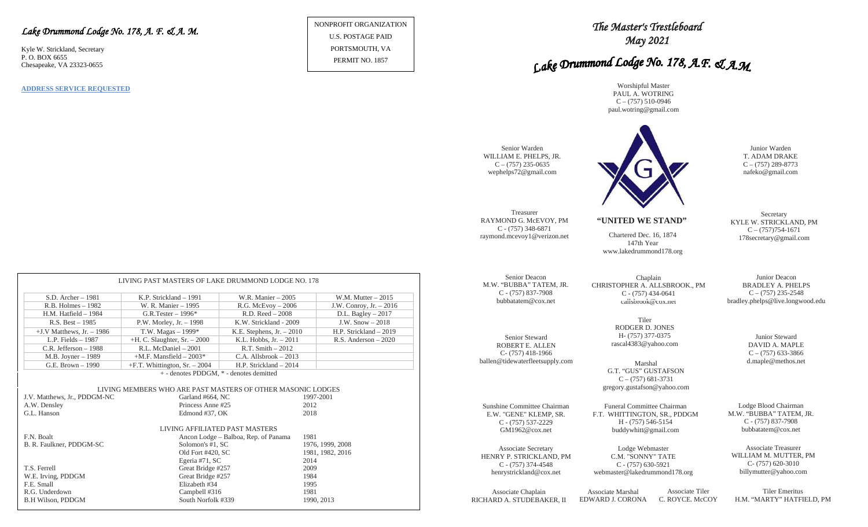### *Lake Drummond Lodge No. 178, A. F. & A. M.*

Kyle W. Strickland, Secretary P. O. BOX 6655 Chesapeake, VA 23323-0655

**ADDRESS SERVICE REQUESTED**

NONPROFIT ORGANIZATION U.S. POSTAGE PAID PORTSMOUTH, VA PERMIT NO. 1857

### *The Master's Trestleboard May 2021*

# Lake Drummond Lodge No. 178, A.F. & A.M.

Worshipful Master PAUL A. WOTRING  $C - (757)$  510-0946 paul.wotring@gmail.com



Junior Warden T. ADAM DRAKE  $C - (757) 289 - 8773$ nafeko@gmail.com

**Secretary** KYLE W. STRICKLAND, PM  $C - (757)754-1671$ 178secretary@gmail.com

Junior Deacon BRADLEY A. PHELPS  $C - (757)$  235-2548 bradley.phelps@live.longwood.edu

Junior Steward DAVID A. MAPLE  $C - (757)$  633-3866 Marshal d.maple@methos.net

> Lodge Blood Chairman M.W. "BUBBA" TATEM, JR. C - (757) 837-7908 bubbatatem@cox.net

Associate Treasurer WILLIAM M. MUTTER, PM C- (757) 620-3010 billymutter@yahoo.com

Associate Chaplain RICHARD A. STUDEBAKER, II

Associate Marshal EDWARD J. CORONA Associate Tiler C. ROYCE. McCOY

Tiler Emeritus H.M. "MARTY" HATFIELD, PM

|                                                             | LIVING PAST MASTERS OF LAKE DRUMMOND LODGE NO. 178           |                                         |                         |  |  |
|-------------------------------------------------------------|--------------------------------------------------------------|-----------------------------------------|-------------------------|--|--|
| $S.D.$ Archer $-1981$                                       | $K.P. Strickland - 1991$                                     | W.R. Manier - 2005                      | W.M. Mutter $-2015$     |  |  |
| $R.B.$ Holmes $-1982$                                       | W. R. Manier - 1995                                          | $R.G.$ McEvoy $-2006$                   | J.W. Conroy, Jr. - 2016 |  |  |
| $H.M.$ Hatfield $-1984$                                     | G.R.Tester $-1996*$                                          | R.D. Reed - 2008                        | $D.L.$ Bagley $-2017$   |  |  |
| $R.S. Best - 1985$                                          | $P.W.$ Morley, Jr. $-1998$                                   | K.W. Strickland - 2009                  | J.W. $Show-2018$        |  |  |
| $+J.V$ Matthews, Jr. $-1986$                                | T.W. Magas $-1999*$<br>K.E. Stephens, $Jr. - 2010$           |                                         | H.P. Strickland - 2019  |  |  |
| L.P. Fields $-1987$                                         | $+H$ . C. Slaughter, Sr. $-2000$<br>K.L. Hobbs, $Jr. - 2011$ |                                         | $R.S.$ Anderson $-2020$ |  |  |
| $C.R.$ Jefferson $-1988$                                    | R.L. McDaniel - 2001<br>$R.T. Smith - 2012$                  |                                         |                         |  |  |
| M.B. Joyner - 1989                                          | $+$ M.F. Mansfield $-$ 2003*                                 | $C.A.$ Allsbrook $-2013$                |                         |  |  |
| G.E. Brown - 1990                                           | $+F.T.$ Whittington, Sr. $-2004$                             | H.P. Strickland - 2014                  |                         |  |  |
|                                                             |                                                              | + - denotes PDDGM, * - denotes demitted |                         |  |  |
|                                                             |                                                              |                                         |                         |  |  |
| LIVING MEMBERS WHO ARE PAST MASTERS OF OTHER MASONIC LODGES |                                                              |                                         |                         |  |  |
| J.V. Matthews, Jr., PDDGM-NC                                | Garland #664, NC                                             |                                         | 1997-2001               |  |  |
| A.W. Densley                                                | Princess Anne#25                                             |                                         | 2012                    |  |  |
| G.L. Hanson                                                 | Edmond #37, OK                                               |                                         | 2018                    |  |  |
|                                                             |                                                              |                                         |                         |  |  |
|                                                             |                                                              | LIVING AFFILIATED PAST MASTERS          |                         |  |  |
| F.N. Boalt                                                  | Ancon Lodge – Balboa, Rep. of Panama                         |                                         | 1981                    |  |  |
| B. R. Faulkner, PDDGM-SC                                    | Solomon's #1, SC                                             |                                         | 1976, 1999, 2008        |  |  |
|                                                             | Old Fort #420, SC                                            |                                         | 1981, 1982, 2016        |  |  |
| T.S. Ferrell                                                | Egeria #71, SC                                               |                                         | 2014                    |  |  |
|                                                             | Great Bridge #257                                            |                                         | 2009                    |  |  |
| W.E. Irving, PDDGM                                          | Great Bridge #257                                            |                                         | 1984                    |  |  |
| F.E. Small                                                  | Elizabeth #34                                                |                                         | 1995                    |  |  |
| R.G. Underdown                                              | Campbell #316                                                |                                         | 1981                    |  |  |
| B.H Wilson, PDDGM                                           | South Norfolk #339                                           |                                         | 1990, 2013              |  |  |

Senior Deacon M.W. "BUBBA" TATEM, JR. C - (757) 837-7908 bubbatatem@cox.net

Treasurer RAYMOND G. McEVOY, PM C - (757) 348-6871

Senior Warden WILLIAM E. PHELPS, JR.  $C - (757)$  235-0635 wephelps72@gmail.com

raymond.mcevoy1@verizon.net Chartered Dec. 16, 1874

Senior Steward ROBERT E. ALLEN C- (757) 418-1966

ballen@tidewaterfleetsupply.com

Sunshine Committee Chairman E.W. "GENE" KLEMP, SR. C - (757) 537-2229 GM1962@cox.net

Associate Secretary HENRY P. STRICKLAND, PM C - (757) 374-4548 henrystrickland@cox.net

Lodge Webmaster C - (757) 630-5921

webmaster@lakedrummond178.org

C.M. "SONNY" TATE

F.T. WHITTINGTON, SR., PDDGM

H - (757) 546-5154 buddywhitt@gmail.com

 $C - (757)$  681-3731 gregory.gustafson@yahoo.com

Tiler RODGER D. JONES H- (757) 377-0375 rascal4383@yahoo.com

Chaplain CHRISTOPHER A. ALLSBROOK., PM C - (757) 434-0641 callsbrook@cox.net

147th Year www.lakedrummond178.org

**"UNITED WE STAND"**

G.T. "GUS" GUSTAFSON

Funeral Committee Chairman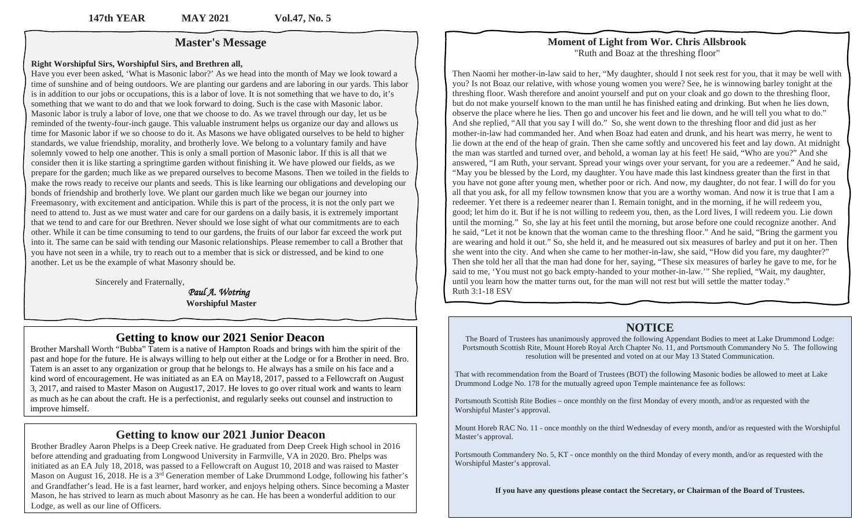### **Master's Message**

#### **Right Worshipful Sirs, Worshipful Sirs, and Brethren all,**

Have you ever been asked, 'What is Masonic labor?' As we head into the month of May we look toward a time of sunshine and of being outdoors. We are planting our gardens and are laboring in our yards. This labor is in addition to our jobs or occupations, this is a labor of love. It is not something that we have to do, it's something that we want to do and that we look forward to doing. Such is the case with Masonic labor. Masonic labor is truly a labor of love, one that we choose to do. As we travel through our day, let us be reminded of the twenty-four-inch gauge. This valuable instrument helps us organize our day and allows us time for Masonic labor if we so choose to do it. As Masons we have obligated ourselves to be held to higher standards, we value friendship, morality, and brotherly love. We belong to a voluntary family and have solemnly vowed to help one another. This is only a small portion of Masonic labor. If this is all that we consider then it is like starting a springtime garden without finishing it. We have plowed our fields, as we prepare for the garden; much like as we prepared ourselves to become Masons. Then we toiled in the fields to make the rows ready to receive our plants and seeds. This is like learning our obligations and developing our bonds of friendship and brotherly love. We plant our garden much like we began our journey into Freemasonry, with excitement and anticipation. While this is part of the process, it is not the only part we need to attend to. Just as we must water and care for our gardens on a daily basis, it is extremely important that we tend to and care for our Brethren. Never should we lose sight of what our commitments are to each other. While it can be time consuming to tend to our gardens, the fruits of our labor far exceed the work put into it. The same can be said with tending our Masonic relationships. Please remember to call a Brother that you have not seen in a while, try to reach out to a member that is sick or distressed, and be kind to one another. Let us be the example of what Masonry should be.

Sincerely and Fraternally,

 *Paul A. Wotring* **Worshipful Master**

### **Getting to know our 2021 Senior Deacon**

Brother Marshall Worth "Bubba" Tatem is a native of Hampton Roads and brings with him the spirit of the past and hope for the future. He is always willing to help out either at the Lodge or for a Brother in need. Bro. Tatem is an asset to any organization or group that he belongs to. He always has a smile on his face and a kind word of encouragement. He was initiated as an EA on May18, 2017, passed to a Fellowcraft on August 3, 2017, and raised to Master Mason on August17, 2017. He loves to go over ritual work and wants to learn as much as he can about the craft. He is a perfectionist, and regularly seeks out counsel and instruction to improve himself.

### **Getting to know our 2021 Junior Deacon**

Brother Bradley Aaron Phelps is a Deep Creek native. He graduated from Deep Creek High school in 2016 before attending and graduating from Longwood University in Farmville, VA in 2020. Bro. Phelps was initiated as an EA July 18, 2018, was passed to a Fellowcraft on August 10, 2018 and was raised to Master Mason on August 16, 2018. He is a 3<sup>rd</sup> Generation member of Lake Drummond Lodge, following his father's and Grandfather's lead. He is a fast learner, hard worker, and enjoys helping others. Since becoming a Master Mason, he has strived to learn as much about Masonry as he can. He has been a wonderful addition to our Lodge, as well as our line of Officers.

### **Moment of Light from Wor. Chris Allsbrook** "Ruth and Boaz at the threshing floor"

Then Naomi her mother-in-law said to her, "My daughter, should I not seek rest for you, that it may be well with you? Is not Boaz our relative, with whose young women you were? See, he is winnowing barley tonight at the threshing floor. Wash therefore and anoint yourself and put on your cloak and go down to the threshing floor, but do not make yourself known to the man until he has finished eating and drinking. But when he lies down, observe the place where he lies. Then go and uncover his feet and lie down, and he will tell you what to do." And she replied, "All that you say I will do." So, she went down to the threshing floor and did just as her mother-in-law had commanded her. And when Boaz had eaten and drunk, and his heart was merry, he went to lie down at the end of the heap of grain. Then she came softly and uncovered his feet and lay down. At midnight the man was startled and turned over, and behold, a woman lay at his feet! He said, "Who are you?" And she answered, "I am Ruth, your servant. Spread your wings over your servant, for you are a redeemer." And he said, "May you be blessed by the Lord, my daughter. You have made this last kindness greater than the first in that you have not gone after young men, whether poor or rich. And now, my daughter, do not fear. I will do for you all that you ask, for all my fellow townsmen know that you are a worthy woman. And now it is true that I am a redeemer. Yet there is a redeemer nearer than I. Remain tonight, and in the morning, if he will redeem you, good; let him do it. But if he is not willing to redeem you, then, as the Lord lives, I will redeem you. Lie down until the morning." So, she lay at his feet until the morning, but arose before one could recognize another. And he said, "Let it not be known that the woman came to the threshing floor." And he said, "Bring the garment you are wearing and hold it out." So, she held it, and he measured out six measures of barley and put it on her. Then she went into the city. And when she came to her mother-in-law, she said, "How did you fare, my daughter?" Then she told her all that the man had done for her, saying, "These six measures of barley he gave to me, for he said to me, 'You must not go back empty-handed to your mother-in-law.'" She replied, "Wait, my daughter, until you learn how the matter turns out, for the man will not rest but will settle the matter today." Ruth 3:1-18 ESV

### **NOTICE**

The Board of Trustees has unanimously approved the following Appendant Bodies to meet at Lake Drummond Lodge: Portsmouth Scottish Rite, Mount Horeb Royal Arch Chapter No. 11, and Portsmouth Commandery No 5. The following resolution will be presented and voted on at our May 13 Stated Communication.

That with recommendation from the Board of Trustees (BOT) the following Masonic bodies be allowed to meet at Lake Drummond Lodge No. 178 for the mutually agreed upon Temple maintenance fee as follows:

Portsmouth Scottish Rite Bodies – once monthly on the first Monday of every month, and/or as requested with the Worshipful Master's approval.

Mount Horeb RAC No. 11 - once monthly on the third Wednesday of every month, and/or as requested with the Worshipful Master's approval.

Portsmouth Commandery No. 5, KT - once monthly on the third Monday of every month, and/or as requested with the Worshipful Master's approval.

**If you have any questions please contact the Secretary, or Chairman of the Board of Trustees.**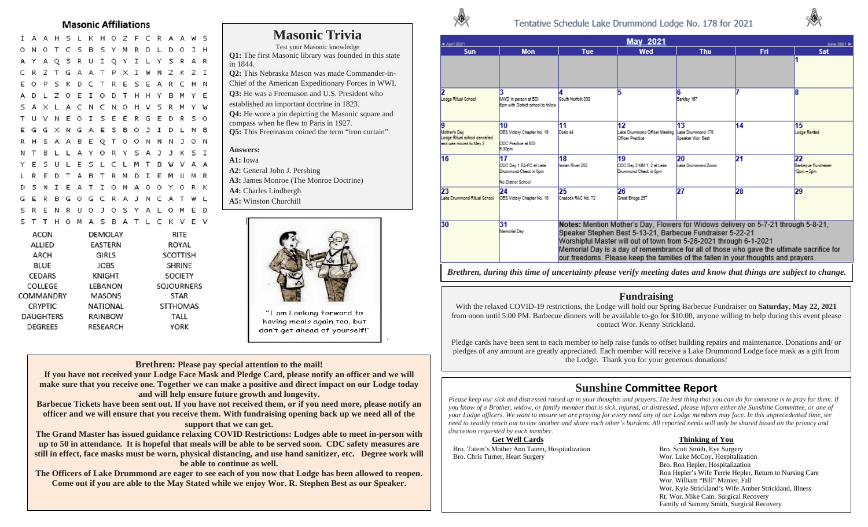### **Masonic Affiliations**

I A A H S L K H O Z F C R A A W S O N O T C S B S Y M R D L D O J H A Y A Q S R U I Q Y I L Y S R A R C R Z T G A A T P X I W N Z K Z I P S K D C T R E S E A R C H N A D L Z O E I O D T H H Y B M Y E S A X L A C N C N O H V S R M V N E O I S E E R G E D R S O E G G X N G A E S B O J I D L N B R H S A A B E Q T O O N N N J O N L L A Y O R Y S A J J K S I N T B S U L E S L C L M T B W V A A T A B T R M D I E M U M R D D S N I E A T I O N A O O Y O R K GOGCRAJNCATWL S R E N R U O J O S Y A L O M E D S T T H O M A S B A T L C K V E V

| ACON             | DEMOLAY         | <b>RITE</b>       |
|------------------|-----------------|-------------------|
| <b>ALLIED</b>    | <b>EASTERN</b>  | ROYAL             |
| ARCH             | <b>GIRLS</b>    | <b>SCOTTISH</b>   |
| <b>BLUE</b>      | <b>JOBS</b>     | <b>SHRINE</b>     |
| <b>CEDARS</b>    | <b>KNIGHT</b>   | <b>SOCIETY</b>    |
| <b>COLLEGE</b>   | LEBANON         | <b>SOJOURNERS</b> |
| COMMANDRY        | <b>MASONS</b>   | <b>STAR</b>       |
| <b>CRYPTIC</b>   | <b>NATIONAL</b> | <b>STTHOMAS</b>   |
| <b>DAUGHTERS</b> | RAINBOW         | TALL              |
| <b>DEGREES</b>   | <b>RESEARCH</b> | YORK              |
|                  |                 |                   |

- **Masonic Trivia** Test your Masonic knowledge **Q1:** The first Masonic library was founded in this state in 1844. **Q2:** This Nebraska Mason was made Commander-in-Chief of the American Expeditionary Forces in WWI. **Q3:** He was a Freemason and U.S. President who established an important doctrine in 1823. **Q4:** He wore a pin depicting the Masonic square and compass when he flew to Paris in 1927. **Q5:** This Freemason coined the term "iron curtain". **Answers: A1:** Iowa **A2:** General John J. Pershing **A3:** James Monroe (The Monroe Doctrine)
- **A4:** Charles Lindbergh
- 1 **A5:** Winston Churchill



"I am Looking forward to having meals again too, but don't get ahead of yourself!"

`

#### **Brethren: Please pay special attention to the mail!**

**If you have not received your Lodge Face Mask and Pledge Card, please notify an officer and we will make sure that you receive one. Together we can make a positive and direct impact on our Lodge today and will help ensure future growth and longevity.** 

**Barbecue Tickets have been sent out. If you have not received them, or if you need more, please notify an officer and we will ensure that you receive them. With fundraising opening back up we need all of the support that we can get.**

**The Grand Master has issued guidance relaxing COVID Restrictions: Lodges able to meet in-person with up to 50 in attendance. It is hopeful that meals will be able to be served soon. CDC safety measures are still in effect, face masks must be worn, physical distancing, and use hand sanitizer, etc. Degree work will be able to continue as well.** 

**The Officers of Lake Drummond are eager to see each of you now that Lodge has been allowed to reopen. Come out if you are able to the May Stated while we enjoy Wor. R. Stephen Best as our Speaker.**



| May 2021<br>4 April 2021<br>June 2021 >                                 |                                                                              |                                                                                                                                                                                                                                                                                                                                                                                                          |                                                                           |                          |     |                                           |
|-------------------------------------------------------------------------|------------------------------------------------------------------------------|----------------------------------------------------------------------------------------------------------------------------------------------------------------------------------------------------------------------------------------------------------------------------------------------------------------------------------------------------------------------------------------------------------|---------------------------------------------------------------------------|--------------------------|-----|-------------------------------------------|
| Sun                                                                     | <b>Mon</b>                                                                   | <b>Tue</b>                                                                                                                                                                                                                                                                                                                                                                                               | Wed                                                                       | <b>Thu</b>               | Fri | Sat                                       |
|                                                                         |                                                                              |                                                                                                                                                                                                                                                                                                                                                                                                          |                                                                           |                          |     |                                           |
| Lodge Ritual School                                                     | MWD In person at BDI<br>Sam with District school to follow                   | South Norfolk 339                                                                                                                                                                                                                                                                                                                                                                                        | 5                                                                         | Berkley 167              |     | 8                                         |
| Mother's Day<br>Lodge Ritual school cancelled<br>and was moved to May 2 | 10<br>OES Victory Chapter No. 16<br>ODC Practice at BDI<br>6:30pm            | 11<br>Dorio 44                                                                                                                                                                                                                                                                                                                                                                                           | 12<br>Lake Drummond Officer Meeting Lake Drummond 178<br>Officer Practice | 13<br>Speaker Wor. Best  | 14  | 15<br>Lodge Rented                        |
| 16                                                                      | 17<br>ODC Day 1 EA-FC at Lake<br>Drummand Check in Spm<br>No District School | 18<br>Indian River 252                                                                                                                                                                                                                                                                                                                                                                                   | 19<br>ODC Day 2 MM 1, 2 at Lake<br>Drummand Check in Spm                  | 20<br>Lake Drummond Zoom | 21  | 22<br>Barbeque Fundraiser<br>$12pm - 5cm$ |
| 23<br>Lake Drummond Ritual School                                       | 24<br>OES Victory Chapter No. 16                                             | 25<br>Credock RAC No. 72                                                                                                                                                                                                                                                                                                                                                                                 | 26<br>Great Bridge 257                                                    | 27                       | 28  | 29                                        |
| 30                                                                      | 31<br>Memorial Dav                                                           | Notes: Mention Mother's Day, Flowers for Widows delivery on 5-7-21 through 5-8-21,<br>Speaker Stephen Best 5-13-21, Barbecue Fundraiser 5-22-21<br>Worshipful Master will out of town from 5-26-2021 through 6-1-2021<br>Memorial Day is a day of remembrance for all of those who gave the ultimate sacrifice for<br>our freedoms. Please keep the families of the fallen in your thoughts and prayers. |                                                                           |                          |     |                                           |

*Brethren, during this time of uncertainty please verify meeting dates and know that things are subject to change.* 

#### **Fundraising**

With the relaxed COVID-19 restrictions, the Lodge will hold our Spring Barbecue Fundraiser on **Saturday, May 22, 2021** from noon until 5:00 PM. Barbecue dinners will be available to-go for \$10.00, anyone willing to help during this event please contact Wor. Kenny Strickland.

Pledge cards have been sent to each member to help raise funds to offset building repairs and maintenance. Donations and/ or pledges of any amount are greatly appreciated. Each member will receive a Lake Drummond Lodge face mask as a gift from the Lodge. Thank you for your generous donations!

### **Sunshine Committee Report**

*Please keep our sick and distressed raised up in your thoughts and prayers. The best thing that you can do for someone is to pray for them. If you know of a Brother, widow, or family member that is sick, injured, or distressed, please inform either the Sunshine Committee, or one of your Lodge officers. We want to ensure we are praying for every need any of our Lodge members may face. In this unprecedented time, we need to readily reach out to one another and share each other's burdens. All reported needs will only be shared based on the privacy and discretion requested by each member.* 

#### **Get Well Cards Thinking of You** Bro. Tatem's Mother Ann Tatem, Hospitalization Bro. Chris Turner, Heart Surgery

Bro. Scott Smith, Eye Surgery Wor. Luke McCoy, Hospitalization Bro. Ron Hepler, Hospitalization Ron Hepler's Wife Terrie Hepler, Return to Nursing Care Wor. William "Bill" Manier, Fall Wor. Kyle Strickland's Wife Amber Strickland, Illness Rt. Wor. Mike Cain, Surgical Recovery Family of Sammy Smith, Surgical Recovery